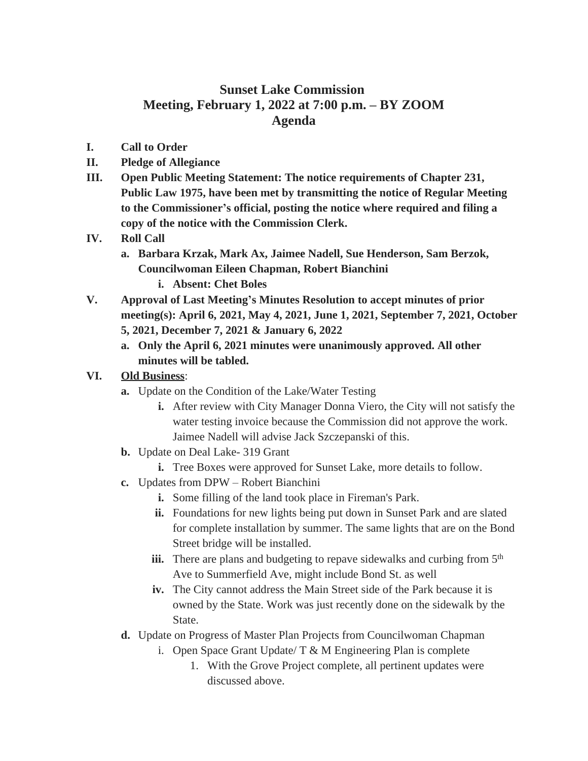## **Sunset Lake Commission Meeting, February 1, 2022 at 7:00 p.m. – BY ZOOM Agenda**

- **I. Call to Order**
- **II. Pledge of Allegiance**
- **III. Open Public Meeting Statement: The notice requirements of Chapter 231, Public Law 1975, have been met by transmitting the notice of Regular Meeting to the Commissioner's official, posting the notice where required and filing a copy of the notice with the Commission Clerk.**
- **IV. Roll Call**
	- **a. Barbara Krzak, Mark Ax, Jaimee Nadell, Sue Henderson, Sam Berzok, Councilwoman Eileen Chapman, Robert Bianchini i. Absent: Chet Boles**
- **V. Approval of Last Meeting's Minutes Resolution to accept minutes of prior meeting(s): April 6, 2021, May 4, 2021, June 1, 2021, September 7, 2021, October 5, 2021, December 7, 2021 & January 6, 2022**
	- **a. Only the April 6, 2021 minutes were unanimously approved. All other minutes will be tabled.**

## **VI. Old Business**:

- **a.** Update on the Condition of the Lake/Water Testing
	- **i.** After review with City Manager Donna Viero, the City will not satisfy the water testing invoice because the Commission did not approve the work. Jaimee Nadell will advise Jack Szczepanski of this.
- **b.** Update on Deal Lake- 319 Grant
	- **i.** Tree Boxes were approved for Sunset Lake, more details to follow.
- **c.** Updates from DPW Robert Bianchini
	- **i.** Some filling of the land took place in Fireman's Park.
	- **ii.** Foundations for new lights being put down in Sunset Park and are slated for complete installation by summer. The same lights that are on the Bond Street bridge will be installed.
	- **iii.** There are plans and budgeting to repave sidewalks and curbing from 5<sup>th</sup> Ave to Summerfield Ave, might include Bond St. as well
	- **iv.** The City cannot address the Main Street side of the Park because it is owned by the State. Work was just recently done on the sidewalk by the State.
- **d.** Update on Progress of Master Plan Projects from Councilwoman Chapman
	- i. Open Space Grant Update/  $T \& M$  Engineering Plan is complete
		- 1. With the Grove Project complete, all pertinent updates were discussed above.